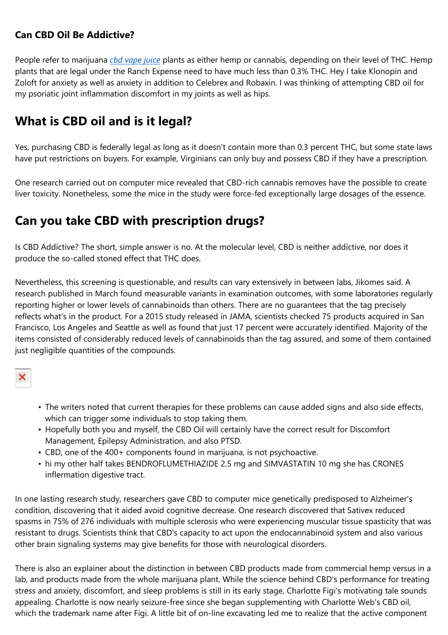## **Can CBD Oil Be Addictive?**

People refer to marijuana *cbd [vape](https://cbdmegashop.co.uk/) juice* plants as either hemp or cannabis, depending on their level of THC. Hemp plants that are legal under the Ranch Expense need to have much less than 0.3% THC. Hey I take Klonopin and Zoloft for anxiety as well as anxiety in addition to Celebrex and Robaxin. I was thinking of attempting CBD oil for my psoriatic joint inflammation discomfort in my joints as well as hips.

## **What is CBD oil and is it legal?**

Yes, purchasing CBD is federally legal as long as it doesn't contain more than 0.3 percent THC, but some state laws have put restrictions on buyers. For example, Virginians can only buy and possess CBD if they have a prescription.

One research carried out on computer mice revealed that CBD-rich cannabis removes have the possible to create liver toxicity. Nonetheless, some the mice in the study were force-fed exceptionally large dosages of the essence.

## **Can you take CBD with prescription drugs?**

Is CBD Addictive? The short, simple answer is no. At the molecular level, CBD is neither addictive, nor does it produce the so-called stoned effect that THC does.

Nevertheless, this screening is questionable, and results can vary extensively in between labs, Jikomes said. A research published in March found measurable variants in examination outcomes, with some laboratories regularly reporting higher or lower levels of cannabinoids than others. There are no guarantees that the tag precisely reflects what's in the product. For a 2015 study released in JAMA, scientists checked 75 products acquired in San Francisco, Los Angeles and Seattle as well as found that just 17 percent were accurately identified. Majority of the items consisted of considerably reduced levels of cannabinoids than the tag assured, and some of them contained just negligible quantities of the compounds.

- The writers noted that current therapies for these problems can cause added signs and also side effects, which can trigger some individuals to stop taking them.
- Hopefully both you and myself, the CBD Oil will certainly have the correct result for Discomfort Management, Epilepsy Administration, and also PTSD.
- CBD, one of the 400+ components found in marijuana, is not psychoactive.
- hi my other half takes BENDROFLUMETHIAZIDE 2.5 mg and SIMVASTATIN 10 mg she has CRONES inflermation digestive tract.

In one lasting research study, researchers gave CBD to computer mice genetically predisposed to Alzheimer's condition, discovering that it aided avoid cognitive decrease. One research discovered that Sativex reduced spasms in 75% of 276 individuals with multiple sclerosis who were experiencing muscular tissue spasticity that was resistant to drugs. Scientists think that CBD's capacity to act upon the endocannabinoid system and also various other brain signaling systems may give benefits for those with neurological disorders.

There is also an explainer about the distinction in between CBD products made from commercial hemp versus in a lab, and products made from the whole marijuana plant. While the science behind CBD's performance for treating stress and anxiety, discomfort, and sleep problems is still in its early stage, Charlotte Figi's motivating tale sounds appealing. Charlotte is now nearly seizure-free since she began supplementing with Charlotte Web's CBD oil, which the trademark name after Figi. A little bit of on-line excavating led me to realize that the active component